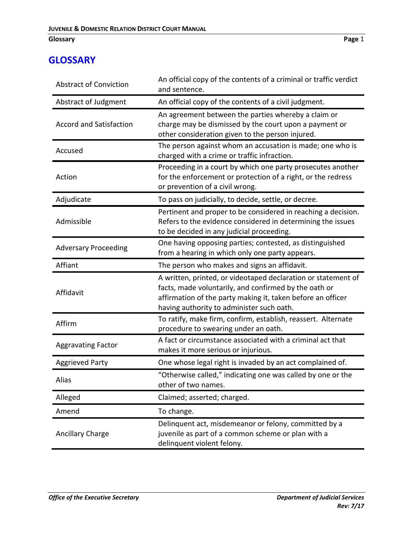## **Glossary Page** 1

## **GLOSSARY**

| <b>Abstract of Conviction</b>  | An official copy of the contents of a criminal or traffic verdict<br>and sentence.                                                                                                                                                 |
|--------------------------------|------------------------------------------------------------------------------------------------------------------------------------------------------------------------------------------------------------------------------------|
| Abstract of Judgment           | An official copy of the contents of a civil judgment.                                                                                                                                                                              |
| <b>Accord and Satisfaction</b> | An agreement between the parties whereby a claim or<br>charge may be dismissed by the court upon a payment or<br>other consideration given to the person injured.                                                                  |
| Accused                        | The person against whom an accusation is made; one who is<br>charged with a crime or traffic infraction.                                                                                                                           |
| Action                         | Proceeding in a court by which one party prosecutes another<br>for the enforcement or protection of a right, or the redress<br>or prevention of a civil wrong.                                                                     |
| Adjudicate                     | To pass on judicially, to decide, settle, or decree.                                                                                                                                                                               |
| Admissible                     | Pertinent and proper to be considered in reaching a decision.<br>Refers to the evidence considered in determining the issues<br>to be decided in any judicial proceeding.                                                          |
| <b>Adversary Proceeding</b>    | One having opposing parties; contested, as distinguished<br>from a hearing in which only one party appears.                                                                                                                        |
| Affiant                        | The person who makes and signs an affidavit.                                                                                                                                                                                       |
| Affidavit                      | A written, printed, or videotaped declaration or statement of<br>facts, made voluntarily, and confirmed by the oath or<br>affirmation of the party making it, taken before an officer<br>having authority to administer such oath. |
| Affirm                         | To ratify, make firm, confirm, establish, reassert. Alternate<br>procedure to swearing under an oath.                                                                                                                              |
| <b>Aggravating Factor</b>      | A fact or circumstance associated with a criminal act that<br>makes it more serious or injurious.                                                                                                                                  |
| <b>Aggrieved Party</b>         | One whose legal right is invaded by an act complained of.                                                                                                                                                                          |
| Alias                          | "Otherwise called," indicating one was called by one or the<br>other of two names.                                                                                                                                                 |
| Alleged                        | Claimed; asserted; charged.                                                                                                                                                                                                        |
| Amend                          | To change.                                                                                                                                                                                                                         |
| <b>Ancillary Charge</b>        | Delinquent act, misdemeanor or felony, committed by a<br>juvenile as part of a common scheme or plan with a<br>delinquent violent felony.                                                                                          |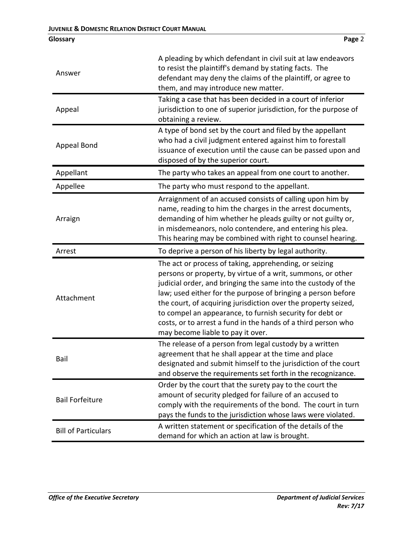| Answer                 | A pleading by which defendant in civil suit at law endeavors<br>to resist the plaintiff's demand by stating facts. The<br>defendant may deny the claims of the plaintiff, or agree to<br>them, and may introduce new matter.                                                                                                                                                                                                                                                               |
|------------------------|--------------------------------------------------------------------------------------------------------------------------------------------------------------------------------------------------------------------------------------------------------------------------------------------------------------------------------------------------------------------------------------------------------------------------------------------------------------------------------------------|
| Appeal                 | Taking a case that has been decided in a court of inferior<br>jurisdiction to one of superior jurisdiction, for the purpose of<br>obtaining a review.                                                                                                                                                                                                                                                                                                                                      |
| Appeal Bond            | A type of bond set by the court and filed by the appellant<br>who had a civil judgment entered against him to forestall<br>issuance of execution until the cause can be passed upon and<br>disposed of by the superior court.                                                                                                                                                                                                                                                              |
| Appellant              | The party who takes an appeal from one court to another.                                                                                                                                                                                                                                                                                                                                                                                                                                   |
| Appellee               | The party who must respond to the appellant.                                                                                                                                                                                                                                                                                                                                                                                                                                               |
| Arraign                | Arraignment of an accused consists of calling upon him by<br>name, reading to him the charges in the arrest documents,<br>demanding of him whether he pleads guilty or not guilty or,<br>in misdemeanors, nolo contendere, and entering his plea.<br>This hearing may be combined with right to counsel hearing.                                                                                                                                                                           |
|                        |                                                                                                                                                                                                                                                                                                                                                                                                                                                                                            |
| Arrest                 | To deprive a person of his liberty by legal authority.                                                                                                                                                                                                                                                                                                                                                                                                                                     |
| Attachment             | The act or process of taking, apprehending, or seizing<br>persons or property, by virtue of a writ, summons, or other<br>judicial order, and bringing the same into the custody of the<br>law; used either for the purpose of bringing a person before<br>the court, of acquiring jurisdiction over the property seized,<br>to compel an appearance, to furnish security for debt or<br>costs, or to arrest a fund in the hands of a third person who<br>may become liable to pay it over. |
| Bail                   | The release of a person from legal custody by a written<br>agreement that he shall appear at the time and place<br>designated and submit himself to the jurisdiction of the court<br>and observe the requirements set forth in the recognizance.                                                                                                                                                                                                                                           |
| <b>Bail Forfeiture</b> | Order by the court that the surety pay to the court the<br>amount of security pledged for failure of an accused to<br>comply with the requirements of the bond. The court in turn<br>pays the funds to the jurisdiction whose laws were violated.                                                                                                                                                                                                                                          |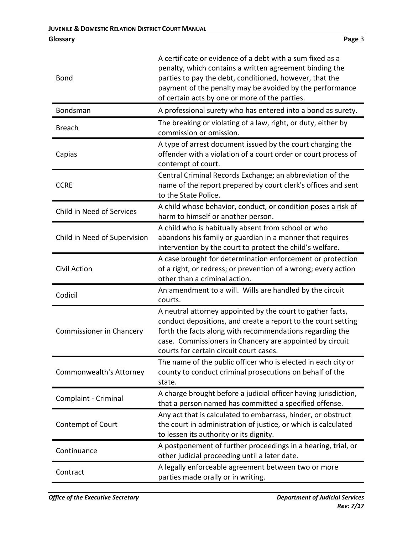| <b>Bond</b>                  | A certificate or evidence of a debt with a sum fixed as a<br>penalty, which contains a written agreement binding the<br>parties to pay the debt, conditioned, however, that the<br>payment of the penalty may be avoided by the performance<br>of certain acts by one or more of the parties.  |
|------------------------------|------------------------------------------------------------------------------------------------------------------------------------------------------------------------------------------------------------------------------------------------------------------------------------------------|
| Bondsman                     | A professional surety who has entered into a bond as surety.                                                                                                                                                                                                                                   |
| <b>Breach</b>                | The breaking or violating of a law, right, or duty, either by<br>commission or omission.                                                                                                                                                                                                       |
| Capias                       | A type of arrest document issued by the court charging the<br>offender with a violation of a court order or court process of<br>contempt of court.                                                                                                                                             |
| <b>CCRE</b>                  | Central Criminal Records Exchange; an abbreviation of the<br>name of the report prepared by court clerk's offices and sent<br>to the State Police.                                                                                                                                             |
| Child in Need of Services    | A child whose behavior, conduct, or condition poses a risk of<br>harm to himself or another person.                                                                                                                                                                                            |
| Child in Need of Supervision | A child who is habitually absent from school or who<br>abandons his family or guardian in a manner that requires<br>intervention by the court to protect the child's welfare.                                                                                                                  |
| <b>Civil Action</b>          | A case brought for determination enforcement or protection<br>of a right, or redress; or prevention of a wrong; every action<br>other than a criminal action.                                                                                                                                  |
| Codicil                      | An amendment to a will. Wills are handled by the circuit<br>courts.                                                                                                                                                                                                                            |
| Commissioner in Chancery     | A neutral attorney appointed by the court to gather facts,<br>conduct depositions, and create a report to the court setting<br>forth the facts along with recommendations regarding the<br>case. Commissioners in Chancery are appointed by circuit<br>courts for certain circuit court cases. |
| Commonwealth's Attorney      | The name of the public officer who is elected in each city or<br>county to conduct criminal prosecutions on behalf of the<br>state.                                                                                                                                                            |
| Complaint - Criminal         | A charge brought before a judicial officer having jurisdiction,<br>that a person named has committed a specified offense.                                                                                                                                                                      |
| Contempt of Court            | Any act that is calculated to embarrass, hinder, or obstruct<br>the court in administration of justice, or which is calculated<br>to lessen its authority or its dignity.                                                                                                                      |
| Continuance                  | A postponement of further proceedings in a hearing, trial, or<br>other judicial proceeding until a later date.                                                                                                                                                                                 |
| Contract                     | A legally enforceable agreement between two or more<br>parties made orally or in writing.                                                                                                                                                                                                      |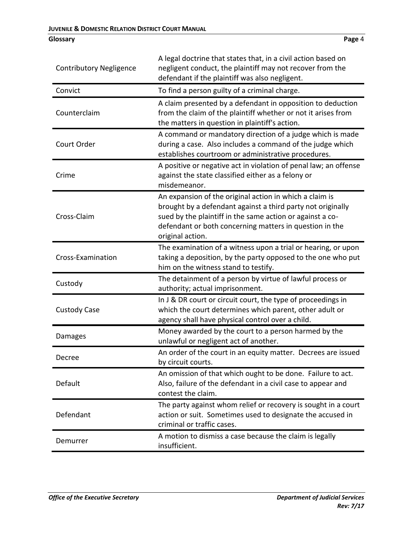| <b>Contributory Negligence</b> | A legal doctrine that states that, in a civil action based on<br>negligent conduct, the plaintiff may not recover from the<br>defendant if the plaintiff was also negligent.                                                                                       |
|--------------------------------|--------------------------------------------------------------------------------------------------------------------------------------------------------------------------------------------------------------------------------------------------------------------|
| Convict                        | To find a person guilty of a criminal charge.                                                                                                                                                                                                                      |
| Counterclaim                   | A claim presented by a defendant in opposition to deduction<br>from the claim of the plaintiff whether or not it arises from<br>the matters in question in plaintiff's action.                                                                                     |
| Court Order                    | A command or mandatory direction of a judge which is made<br>during a case. Also includes a command of the judge which<br>establishes courtroom or administrative procedures.                                                                                      |
| Crime                          | A positive or negative act in violation of penal law; an offense<br>against the state classified either as a felony or<br>misdemeanor.                                                                                                                             |
| Cross-Claim                    | An expansion of the original action in which a claim is<br>brought by a defendant against a third party not originally<br>sued by the plaintiff in the same action or against a co-<br>defendant or both concerning matters in question in the<br>original action. |
| Cross-Examination              | The examination of a witness upon a trial or hearing, or upon<br>taking a deposition, by the party opposed to the one who put<br>him on the witness stand to testify.                                                                                              |
| Custody                        | The detainment of a person by virtue of lawful process or<br>authority; actual imprisonment.                                                                                                                                                                       |
| <b>Custody Case</b>            | In J & DR court or circuit court, the type of proceedings in<br>which the court determines which parent, other adult or<br>agency shall have physical control over a child.                                                                                        |
| Damages                        | Money awarded by the court to a person harmed by the<br>unlawful or negligent act of another.                                                                                                                                                                      |
| Decree                         | An order of the court in an equity matter. Decrees are issued<br>by circuit courts.                                                                                                                                                                                |
| Default                        | An omission of that which ought to be done. Failure to act.<br>Also, failure of the defendant in a civil case to appear and<br>contest the claim.                                                                                                                  |
| Defendant                      | The party against whom relief or recovery is sought in a court<br>action or suit. Sometimes used to designate the accused in<br>criminal or traffic cases.                                                                                                         |
| Demurrer                       | A motion to dismiss a case because the claim is legally<br>insufficient.                                                                                                                                                                                           |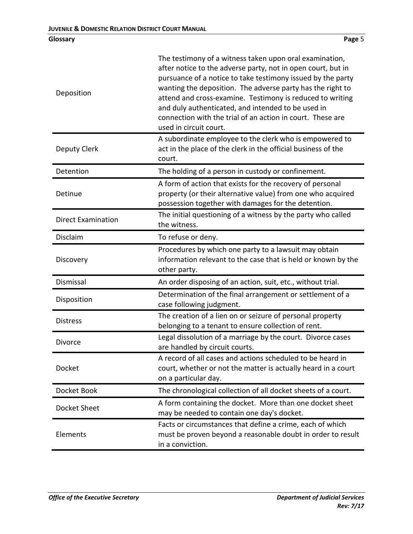| Deposition                | The testimony of a witness taken upon oral examination,<br>after notice to the adverse party, not in open court, but in<br>pursuance of a notice to take testimony issued by the party<br>wanting the deposition. The adverse party has the right to<br>attend and cross-examine. Testimony is reduced to writing<br>and duly authenticated, and intended to be used in<br>connection with the trial of an action in court. These are<br>used in circuit court. |
|---------------------------|-----------------------------------------------------------------------------------------------------------------------------------------------------------------------------------------------------------------------------------------------------------------------------------------------------------------------------------------------------------------------------------------------------------------------------------------------------------------|
| Deputy Clerk              | A subordinate employee to the clerk who is empowered to<br>act in the place of the clerk in the official business of the<br>court.                                                                                                                                                                                                                                                                                                                              |
| Detention                 | The holding of a person in custody or confinement.                                                                                                                                                                                                                                                                                                                                                                                                              |
| Detinue                   | A form of action that exists for the recovery of personal<br>property (or their alternative value) from one who acquired<br>possession together with damages for the detention.                                                                                                                                                                                                                                                                                 |
| <b>Direct Examination</b> | The initial questioning of a witness by the party who called<br>the witness.                                                                                                                                                                                                                                                                                                                                                                                    |
| Disclaim                  | To refuse or deny.                                                                                                                                                                                                                                                                                                                                                                                                                                              |
| Discovery                 | Procedures by which one party to a lawsuit may obtain<br>information relevant to the case that is held or known by the<br>other party.                                                                                                                                                                                                                                                                                                                          |
| Dismissal                 | An order disposing of an action, suit, etc., without trial.                                                                                                                                                                                                                                                                                                                                                                                                     |
| Disposition               | Determination of the final arrangement or settlement of a<br>case following judgment.                                                                                                                                                                                                                                                                                                                                                                           |
| <b>Distress</b>           | The creation of a lien on or seizure of personal property<br>belonging to a tenant to ensure collection of rent.                                                                                                                                                                                                                                                                                                                                                |
| Divorce                   | Legal dissolution of a marriage by the court. Divorce cases<br>are handled by circuit courts.                                                                                                                                                                                                                                                                                                                                                                   |
| Docket                    | A record of all cases and actions scheduled to be heard in<br>court, whether or not the matter is actually heard in a court<br>on a particular day.                                                                                                                                                                                                                                                                                                             |
| Docket Book               | The chronological collection of all docket sheets of a court.                                                                                                                                                                                                                                                                                                                                                                                                   |
| Docket Sheet              | A form containing the docket. More than one docket sheet<br>may be needed to contain one day's docket.                                                                                                                                                                                                                                                                                                                                                          |
| Elements                  | Facts or circumstances that define a crime, each of which<br>must be proven beyond a reasonable doubt in order to result<br>in a conviction.                                                                                                                                                                                                                                                                                                                    |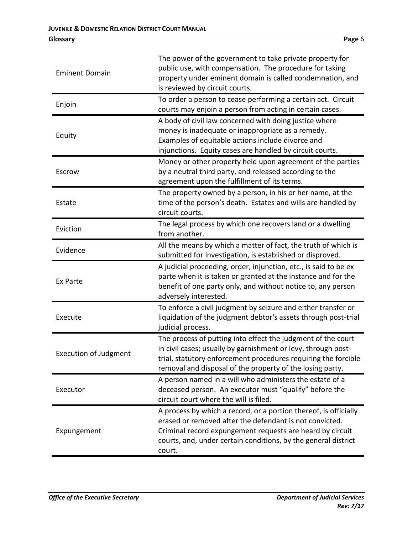| <b>Eminent Domain</b>        | The power of the government to take private property for<br>public use, with compensation. The procedure for taking<br>property under eminent domain is called condemnation, and<br>is reviewed by circuit courts.                                                   |
|------------------------------|----------------------------------------------------------------------------------------------------------------------------------------------------------------------------------------------------------------------------------------------------------------------|
| Enjoin                       | To order a person to cease performing a certain act. Circuit<br>courts may enjoin a person from acting in certain cases.                                                                                                                                             |
| Equity                       | A body of civil law concerned with doing justice where<br>money is inadequate or inappropriate as a remedy.<br>Examples of equitable actions include divorce and<br>injunctions. Equity cases are handled by circuit courts.                                         |
| Escrow                       | Money or other property held upon agreement of the parties<br>by a neutral third party, and released according to the<br>agreement upon the fulfillment of its terms.                                                                                                |
| Estate                       | The property owned by a person, in his or her name, at the<br>time of the person's death. Estates and wills are handled by<br>circuit courts.                                                                                                                        |
| Eviction                     | The legal process by which one recovers land or a dwelling<br>from another.                                                                                                                                                                                          |
| Evidence                     | All the means by which a matter of fact, the truth of which is<br>submitted for investigation, is established or disproved.                                                                                                                                          |
| Ex Parte                     | A judicial proceeding, order, injunction, etc., is said to be ex<br>parte when it is taken or granted at the instance and for the<br>benefit of one party only, and without notice to, any person<br>adversely interested.                                           |
| Execute                      | To enforce a civil judgment by seizure and either transfer or<br>liquidation of the judgment debtor's assets through post-trial<br>judicial process.                                                                                                                 |
| <b>Execution of Judgment</b> | The process of putting into effect the judgment of the court<br>in civil cases; usually by garnishment or levy, through post-<br>trial, statutory enforcement procedures requiring the forcible<br>removal and disposal of the property of the losing party.         |
| Executor                     | A person named in a will who administers the estate of a<br>deceased person. An executor must "qualify" before the<br>circuit court where the will is filed.                                                                                                         |
| Expungement                  | A process by which a record, or a portion thereof, is officially<br>erased or removed after the defendant is not convicted.<br>Criminal record expungement requests are heard by circuit<br>courts, and, under certain conditions, by the general district<br>court. |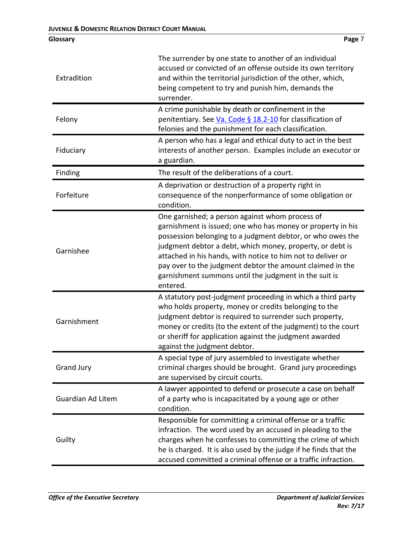| Extradition              | The surrender by one state to another of an individual<br>accused or convicted of an offense outside its own territory<br>and within the territorial jurisdiction of the other, which,<br>being competent to try and punish him, demands the<br>surrender.                                                                                                                                                                                 |
|--------------------------|--------------------------------------------------------------------------------------------------------------------------------------------------------------------------------------------------------------------------------------------------------------------------------------------------------------------------------------------------------------------------------------------------------------------------------------------|
| Felony                   | A crime punishable by death or confinement in the<br>penitentiary. See Va. Code § 18.2-10 for classification of<br>felonies and the punishment for each classification.                                                                                                                                                                                                                                                                    |
| Fiduciary                | A person who has a legal and ethical duty to act in the best<br>interests of another person. Examples include an executor or<br>a guardian.                                                                                                                                                                                                                                                                                                |
| Finding                  | The result of the deliberations of a court.                                                                                                                                                                                                                                                                                                                                                                                                |
| Forfeiture               | A deprivation or destruction of a property right in<br>consequence of the nonperformance of some obligation or<br>condition.                                                                                                                                                                                                                                                                                                               |
| Garnishee                | One garnished; a person against whom process of<br>garnishment is issued; one who has money or property in his<br>possession belonging to a judgment debtor, or who owes the<br>judgment debtor a debt, which money, property, or debt is<br>attached in his hands, with notice to him not to deliver or<br>pay over to the judgment debtor the amount claimed in the<br>garnishment summons until the judgment in the suit is<br>entered. |
| Garnishment              | A statutory post-judgment proceeding in which a third party<br>who holds property, money or credits belonging to the<br>judgment debtor is required to surrender such property,<br>money or credits (to the extent of the judgment) to the court<br>or sheriff for application against the judgment awarded<br>against the judgment debtor.                                                                                                |
| <b>Grand Jury</b>        | A special type of jury assembled to investigate whether<br>criminal charges should be brought. Grand jury proceedings<br>are supervised by circuit courts.                                                                                                                                                                                                                                                                                 |
| <b>Guardian Ad Litem</b> | A lawyer appointed to defend or prosecute a case on behalf<br>of a party who is incapacitated by a young age or other<br>condition.                                                                                                                                                                                                                                                                                                        |
| Guilty                   | Responsible for committing a criminal offense or a traffic<br>infraction. The word used by an accused in pleading to the<br>charges when he confesses to committing the crime of which<br>he is charged. It is also used by the judge if he finds that the<br>accused committed a criminal offense or a traffic infraction.                                                                                                                |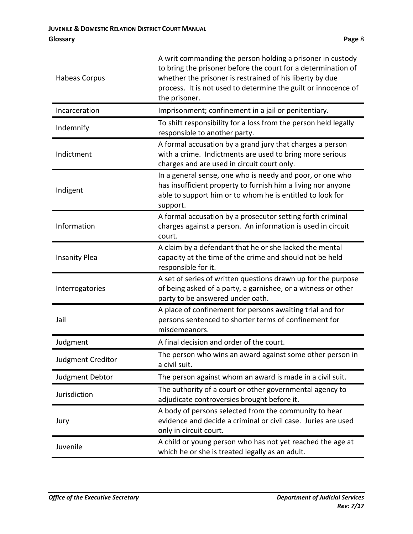| Habeas Corpus            | A writ commanding the person holding a prisoner in custody<br>to bring the prisoner before the court for a determination of<br>whether the prisoner is restrained of his liberty by due<br>process. It is not used to determine the guilt or innocence of<br>the prisoner. |
|--------------------------|----------------------------------------------------------------------------------------------------------------------------------------------------------------------------------------------------------------------------------------------------------------------------|
| Incarceration            | Imprisonment; confinement in a jail or penitentiary.                                                                                                                                                                                                                       |
| Indemnify                | To shift responsibility for a loss from the person held legally<br>responsible to another party.                                                                                                                                                                           |
| Indictment               | A formal accusation by a grand jury that charges a person<br>with a crime. Indictments are used to bring more serious<br>charges and are used in circuit court only.                                                                                                       |
| Indigent                 | In a general sense, one who is needy and poor, or one who<br>has insufficient property to furnish him a living nor anyone<br>able to support him or to whom he is entitled to look for<br>support.                                                                         |
| Information              | A formal accusation by a prosecutor setting forth criminal<br>charges against a person. An information is used in circuit<br>court.                                                                                                                                        |
| <b>Insanity Plea</b>     | A claim by a defendant that he or she lacked the mental<br>capacity at the time of the crime and should not be held<br>responsible for it.                                                                                                                                 |
| Interrogatories          | A set of series of written questions drawn up for the purpose<br>of being asked of a party, a garnishee, or a witness or other<br>party to be answered under oath.                                                                                                         |
| Jail                     | A place of confinement for persons awaiting trial and for<br>persons sentenced to shorter terms of confinement for<br>misdemeanors.                                                                                                                                        |
| Judgment                 | A final decision and order of the court.                                                                                                                                                                                                                                   |
| <b>Judgment Creditor</b> | The person who wins an award against some other person in<br>a civil suit.                                                                                                                                                                                                 |
| Judgment Debtor          | The person against whom an award is made in a civil suit.                                                                                                                                                                                                                  |
| Jurisdiction             | The authority of a court or other governmental agency to<br>adjudicate controversies brought before it.                                                                                                                                                                    |
| Jury                     | A body of persons selected from the community to hear<br>evidence and decide a criminal or civil case. Juries are used<br>only in circuit court.                                                                                                                           |
| Juvenile                 | A child or young person who has not yet reached the age at<br>which he or she is treated legally as an adult.                                                                                                                                                              |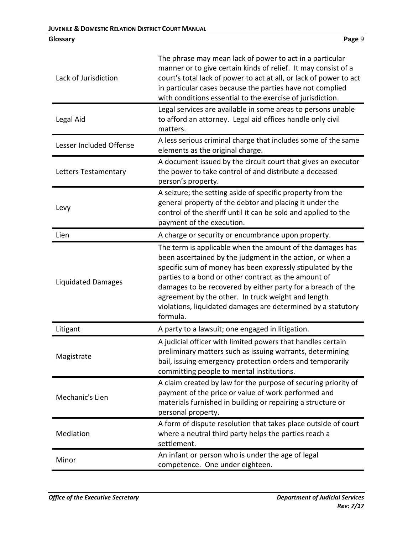| Lack of Jurisdiction      | The phrase may mean lack of power to act in a particular<br>manner or to give certain kinds of relief. It may consist of a<br>court's total lack of power to act at all, or lack of power to act<br>in particular cases because the parties have not complied<br>with conditions essential to the exercise of jurisdiction.                                                                                                                   |
|---------------------------|-----------------------------------------------------------------------------------------------------------------------------------------------------------------------------------------------------------------------------------------------------------------------------------------------------------------------------------------------------------------------------------------------------------------------------------------------|
| Legal Aid                 | Legal services are available in some areas to persons unable<br>to afford an attorney. Legal aid offices handle only civil<br>matters.                                                                                                                                                                                                                                                                                                        |
| Lesser Included Offense   | A less serious criminal charge that includes some of the same<br>elements as the original charge.                                                                                                                                                                                                                                                                                                                                             |
| Letters Testamentary      | A document issued by the circuit court that gives an executor<br>the power to take control of and distribute a deceased<br>person's property.                                                                                                                                                                                                                                                                                                 |
| Levy                      | A seizure; the setting aside of specific property from the<br>general property of the debtor and placing it under the<br>control of the sheriff until it can be sold and applied to the<br>payment of the execution.                                                                                                                                                                                                                          |
| Lien                      | A charge or security or encumbrance upon property.                                                                                                                                                                                                                                                                                                                                                                                            |
| <b>Liquidated Damages</b> | The term is applicable when the amount of the damages has<br>been ascertained by the judgment in the action, or when a<br>specific sum of money has been expressly stipulated by the<br>parties to a bond or other contract as the amount of<br>damages to be recovered by either party for a breach of the<br>agreement by the other. In truck weight and length<br>violations, liquidated damages are determined by a statutory<br>formula. |
| Litigant                  | A party to a lawsuit; one engaged in litigation.                                                                                                                                                                                                                                                                                                                                                                                              |
| Magistrate                | A judicial officer with limited powers that handles certain<br>preliminary matters such as issuing warrants, determining<br>bail, issuing emergency protection orders and temporarily<br>committing people to mental institutions.                                                                                                                                                                                                            |
| Mechanic's Lien           | A claim created by law for the purpose of securing priority of<br>payment of the price or value of work performed and<br>materials furnished in building or repairing a structure or<br>personal property.                                                                                                                                                                                                                                    |
| Mediation                 | A form of dispute resolution that takes place outside of court<br>where a neutral third party helps the parties reach a<br>settlement.                                                                                                                                                                                                                                                                                                        |
| Minor                     | An infant or person who is under the age of legal<br>competence. One under eighteen.                                                                                                                                                                                                                                                                                                                                                          |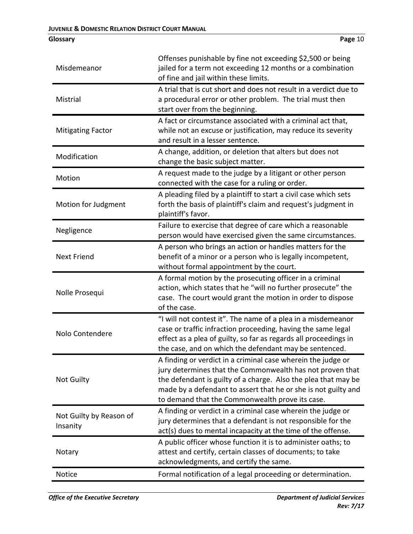| Misdemeanor                         | Offenses punishable by fine not exceeding \$2,500 or being<br>jailed for a term not exceeding 12 months or a combination<br>of fine and jail within these limits.                                                                                                                                                |
|-------------------------------------|------------------------------------------------------------------------------------------------------------------------------------------------------------------------------------------------------------------------------------------------------------------------------------------------------------------|
| Mistrial                            | A trial that is cut short and does not result in a verdict due to<br>a procedural error or other problem. The trial must then<br>start over from the beginning.                                                                                                                                                  |
| <b>Mitigating Factor</b>            | A fact or circumstance associated with a criminal act that,<br>while not an excuse or justification, may reduce its severity<br>and result in a lesser sentence.                                                                                                                                                 |
| Modification                        | A change, addition, or deletion that alters but does not<br>change the basic subject matter.                                                                                                                                                                                                                     |
| Motion                              | A request made to the judge by a litigant or other person<br>connected with the case for a ruling or order.                                                                                                                                                                                                      |
| Motion for Judgment                 | A pleading filed by a plaintiff to start a civil case which sets<br>forth the basis of plaintiff's claim and request's judgment in<br>plaintiff's favor.                                                                                                                                                         |
| Negligence                          | Failure to exercise that degree of care which a reasonable<br>person would have exercised given the same circumstances.                                                                                                                                                                                          |
| <b>Next Friend</b>                  | A person who brings an action or handles matters for the<br>benefit of a minor or a person who is legally incompetent,<br>without formal appointment by the court.                                                                                                                                               |
| Nolle Prosequi                      | A formal motion by the prosecuting officer in a criminal<br>action, which states that he "will no further prosecute" the<br>case. The court would grant the motion in order to dispose<br>of the case.                                                                                                           |
| Nolo Contendere                     | "I will not contest it". The name of a plea in a misdemeanor<br>case or traffic infraction proceeding, having the same legal<br>effect as a plea of guilty, so far as regards all proceedings in<br>the case, and on which the defendant may be sentenced.                                                       |
| <b>Not Guilty</b>                   | A finding or verdict in a criminal case wherein the judge or<br>jury determines that the Commonwealth has not proven that<br>the defendant is guilty of a charge. Also the plea that may be<br>made by a defendant to assert that he or she is not guilty and<br>to demand that the Commonwealth prove its case. |
| Not Guilty by Reason of<br>Insanity | A finding or verdict in a criminal case wherein the judge or<br>jury determines that a defendant is not responsible for the<br>act(s) dues to mental incapacity at the time of the offense.                                                                                                                      |
| Notary                              | A public officer whose function it is to administer oaths; to<br>attest and certify, certain classes of documents; to take<br>acknowledgments, and certify the same.                                                                                                                                             |
| Notice                              | Formal notification of a legal proceeding or determination.                                                                                                                                                                                                                                                      |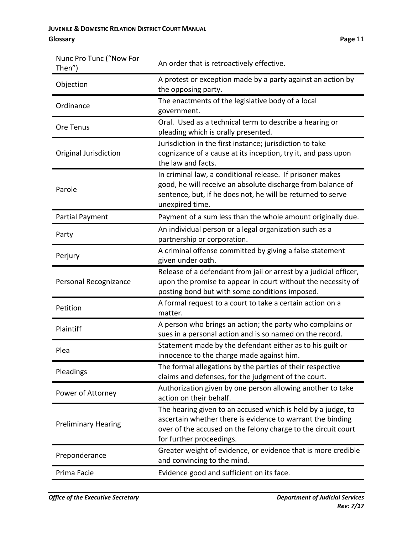| Nunc Pro Tunc ("Now For<br>Then") | An order that is retroactively effective.                                                                                                                                                                               |
|-----------------------------------|-------------------------------------------------------------------------------------------------------------------------------------------------------------------------------------------------------------------------|
| Objection                         | A protest or exception made by a party against an action by<br>the opposing party.                                                                                                                                      |
| Ordinance                         | The enactments of the legislative body of a local<br>government.                                                                                                                                                        |
| Ore Tenus                         | Oral. Used as a technical term to describe a hearing or<br>pleading which is orally presented.                                                                                                                          |
| Original Jurisdiction             | Jurisdiction in the first instance; jurisdiction to take<br>cognizance of a cause at its inception, try it, and pass upon<br>the law and facts.                                                                         |
| Parole                            | In criminal law, a conditional release. If prisoner makes<br>good, he will receive an absolute discharge from balance of<br>sentence, but, if he does not, he will be returned to serve<br>unexpired time.              |
| <b>Partial Payment</b>            | Payment of a sum less than the whole amount originally due.                                                                                                                                                             |
| Party                             | An individual person or a legal organization such as a<br>partnership or corporation.                                                                                                                                   |
| Perjury                           | A criminal offense committed by giving a false statement<br>given under oath.                                                                                                                                           |
| Personal Recognizance             | Release of a defendant from jail or arrest by a judicial officer,<br>upon the promise to appear in court without the necessity of<br>posting bond but with some conditions imposed.                                     |
| Petition                          | A formal request to a court to take a certain action on a<br>matter.                                                                                                                                                    |
| Plaintiff                         | A person who brings an action; the party who complains or<br>sues in a personal action and is so named on the record.                                                                                                   |
| Plea                              | Statement made by the defendant either as to his guilt or<br>innocence to the charge made against him                                                                                                                   |
| Pleadings                         | The formal allegations by the parties of their respective<br>claims and defenses, for the judgment of the court.                                                                                                        |
| Power of Attorney                 | Authorization given by one person allowing another to take<br>action on their behalf.                                                                                                                                   |
| <b>Preliminary Hearing</b>        | The hearing given to an accused which is held by a judge, to<br>ascertain whether there is evidence to warrant the binding<br>over of the accused on the felony charge to the circuit court<br>for further proceedings. |
| Preponderance                     | Greater weight of evidence, or evidence that is more credible<br>and convincing to the mind.                                                                                                                            |
| Prima Facie                       | Evidence good and sufficient on its face.                                                                                                                                                                               |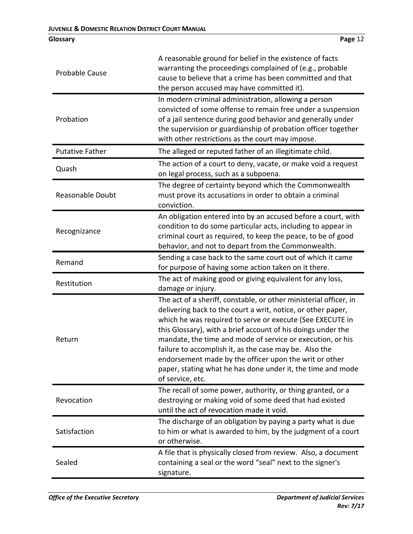| <b>Probable Cause</b>  | A reasonable ground for belief in the existence of facts<br>warranting the proceedings complained of (e.g., probable<br>cause to believe that a crime has been committed and that<br>the person accused may have committed it).                                                                                                                                                                                                                                                                                                     |
|------------------------|-------------------------------------------------------------------------------------------------------------------------------------------------------------------------------------------------------------------------------------------------------------------------------------------------------------------------------------------------------------------------------------------------------------------------------------------------------------------------------------------------------------------------------------|
| Probation              | In modern criminal administration, allowing a person<br>convicted of some offense to remain free under a suspension<br>of a jail sentence during good behavior and generally under<br>the supervision or guardianship of probation officer together<br>with other restrictions as the court may impose.                                                                                                                                                                                                                             |
| <b>Putative Father</b> | The alleged or reputed father of an illegitimate child.                                                                                                                                                                                                                                                                                                                                                                                                                                                                             |
| Quash                  | The action of a court to deny, vacate, or make void a request<br>on legal process, such as a subpoena.                                                                                                                                                                                                                                                                                                                                                                                                                              |
| Reasonable Doubt       | The degree of certainty beyond which the Commonwealth<br>must prove its accusations in order to obtain a criminal<br>conviction.                                                                                                                                                                                                                                                                                                                                                                                                    |
| Recognizance           | An obligation entered into by an accused before a court, with<br>condition to do some particular acts, including to appear in<br>criminal court as required, to keep the peace, to be of good<br>behavior, and not to depart from the Commonwealth.                                                                                                                                                                                                                                                                                 |
| Remand                 | Sending a case back to the same court out of which it came<br>for purpose of having some action taken on it there.                                                                                                                                                                                                                                                                                                                                                                                                                  |
| Restitution            | The act of making good or giving equivalent for any loss,<br>damage or injury.                                                                                                                                                                                                                                                                                                                                                                                                                                                      |
| Return                 | The act of a sheriff, constable, or other ministerial officer, in<br>delivering back to the court a writ, notice, or other paper,<br>which he was required to serve or execute (See EXECUTE in<br>this Glossary), with a brief account of his doings under the<br>mandate, the time and mode of service or execution, or his<br>failure to accomplish it, as the case may be. Also the<br>endorsement made by the officer upon the writ or other<br>paper, stating what he has done under it, the time and mode<br>of service, etc. |
| Revocation             | The recall of some power, authority, or thing granted, or a<br>destroying or making void of some deed that had existed<br>until the act of revocation made it void.                                                                                                                                                                                                                                                                                                                                                                 |
| Satisfaction           | The discharge of an obligation by paying a party what is due<br>to him or what is awarded to him, by the judgment of a court<br>or otherwise.                                                                                                                                                                                                                                                                                                                                                                                       |
| Sealed                 | A file that is physically closed from review. Also, a document<br>containing a seal or the word "seal" next to the signer's<br>signature.                                                                                                                                                                                                                                                                                                                                                                                           |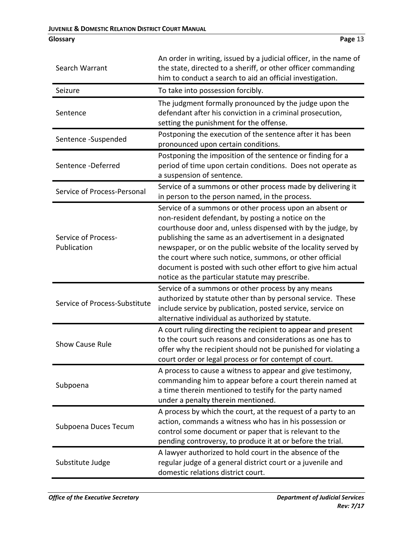| Search Warrant                     | An order in writing, issued by a judicial officer, in the name of<br>the state, directed to a sheriff, or other officer commanding<br>him to conduct a search to aid an official investigation.                                                                                                                                                                                                                                                                                        |
|------------------------------------|----------------------------------------------------------------------------------------------------------------------------------------------------------------------------------------------------------------------------------------------------------------------------------------------------------------------------------------------------------------------------------------------------------------------------------------------------------------------------------------|
| Seizure                            | To take into possession forcibly.                                                                                                                                                                                                                                                                                                                                                                                                                                                      |
| Sentence                           | The judgment formally pronounced by the judge upon the<br>defendant after his conviction in a criminal prosecution,<br>setting the punishment for the offense.                                                                                                                                                                                                                                                                                                                         |
| Sentence -Suspended                | Postponing the execution of the sentence after it has been<br>pronounced upon certain conditions.                                                                                                                                                                                                                                                                                                                                                                                      |
| Sentence -Deferred                 | Postponing the imposition of the sentence or finding for a<br>period of time upon certain conditions. Does not operate as<br>a suspension of sentence.                                                                                                                                                                                                                                                                                                                                 |
| Service of Process-Personal        | Service of a summons or other process made by delivering it<br>in person to the person named, in the process.                                                                                                                                                                                                                                                                                                                                                                          |
| Service of Process-<br>Publication | Service of a summons or other process upon an absent or<br>non-resident defendant, by posting a notice on the<br>courthouse door and, unless dispensed with by the judge, by<br>publishing the same as an advertisement in a designated<br>newspaper, or on the public website of the locality served by<br>the court where such notice, summons, or other official<br>document is posted with such other effort to give him actual<br>notice as the particular statute may prescribe. |
| Service of Process-Substitute      | Service of a summons or other process by any means<br>authorized by statute other than by personal service. These<br>include service by publication, posted service, service on<br>alternative individual as authorized by statute.                                                                                                                                                                                                                                                    |
| <b>Show Cause Rule</b>             | A court ruling directing the recipient to appear and present<br>to the court such reasons and considerations as one has to<br>offer why the recipient should not be punished for violating a<br>court order or legal process or for contempt of court.                                                                                                                                                                                                                                 |
| Subpoena                           | A process to cause a witness to appear and give testimony,<br>commanding him to appear before a court therein named at<br>a time therein mentioned to testify for the party named<br>under a penalty therein mentioned.                                                                                                                                                                                                                                                                |
| Subpoena Duces Tecum               | A process by which the court, at the request of a party to an<br>action, commands a witness who has in his possession or<br>control some document or paper that is relevant to the<br>pending controversy, to produce it at or before the trial.                                                                                                                                                                                                                                       |
| Substitute Judge                   | A lawyer authorized to hold court in the absence of the<br>regular judge of a general district court or a juvenile and<br>domestic relations district court.                                                                                                                                                                                                                                                                                                                           |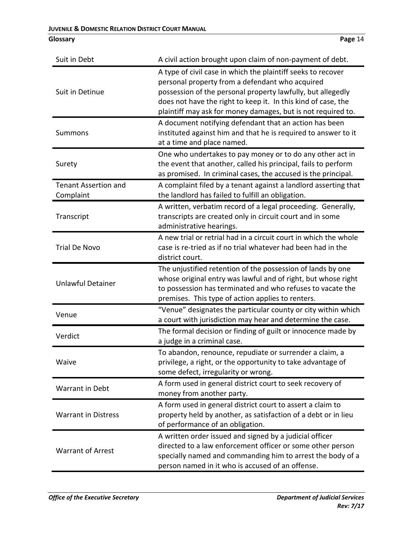| Suit in Debt                             | A civil action brought upon claim of non-payment of debt.                                                                                                                                                                                                                                                       |
|------------------------------------------|-----------------------------------------------------------------------------------------------------------------------------------------------------------------------------------------------------------------------------------------------------------------------------------------------------------------|
| Suit in Detinue                          | A type of civil case in which the plaintiff seeks to recover<br>personal property from a defendant who acquired<br>possession of the personal property lawfully, but allegedly<br>does not have the right to keep it. In this kind of case, the<br>plaintiff may ask for money damages, but is not required to. |
| <b>Summons</b>                           | A document notifying defendant that an action has been<br>instituted against him and that he is required to answer to it<br>at a time and place named.                                                                                                                                                          |
| Surety                                   | One who undertakes to pay money or to do any other act in<br>the event that another, called his principal, fails to perform<br>as promised. In criminal cases, the accused is the principal.                                                                                                                    |
| <b>Tenant Assertion and</b><br>Complaint | A complaint filed by a tenant against a landlord asserting that<br>the landlord has failed to fulfill an obligation.                                                                                                                                                                                            |
| Transcript                               | A written, verbatim record of a legal proceeding. Generally,<br>transcripts are created only in circuit court and in some<br>administrative hearings.                                                                                                                                                           |
| <b>Trial De Novo</b>                     | A new trial or retrial had in a circuit court in which the whole<br>case is re-tried as if no trial whatever had been had in the<br>district court.                                                                                                                                                             |
| <b>Unlawful Detainer</b>                 | The unjustified retention of the possession of lands by one<br>whose original entry was lawful and of right, but whose right<br>to possession has terminated and who refuses to vacate the<br>premises. This type of action applies to renters.                                                                 |
| Venue                                    | "Venue" designates the particular county or city within which<br>a court with jurisdiction may hear and determine the case.                                                                                                                                                                                     |
| Verdict                                  | The formal decision or finding of guilt or innocence made by<br>a judge in a criminal case.                                                                                                                                                                                                                     |
| Waive                                    | To abandon, renounce, repudiate or surrender a claim, a<br>privilege, a right, or the opportunity to take advantage of<br>some defect, irregularity or wrong.                                                                                                                                                   |
| <b>Warrant in Debt</b>                   | A form used in general district court to seek recovery of<br>money from another party.                                                                                                                                                                                                                          |
| <b>Warrant in Distress</b>               | A form used in general district court to assert a claim to<br>property held by another, as satisfaction of a debt or in lieu<br>of performance of an obligation.                                                                                                                                                |
| <b>Warrant of Arrest</b>                 | A written order issued and signed by a judicial officer<br>directed to a law enforcement officer or some other person<br>specially named and commanding him to arrest the body of a<br>person named in it who is accused of an offense.                                                                         |